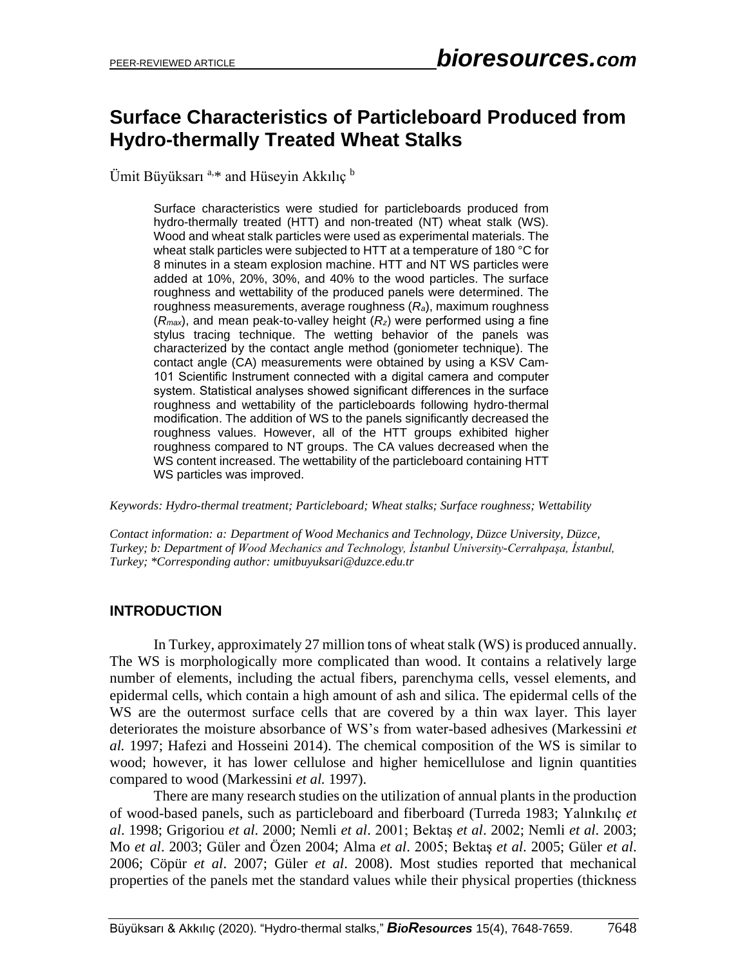# **Surface Characteristics of Particleboard Produced from Hydro-thermally Treated Wheat Stalks**

Ümit Büyüksarı<sup>a,\*</sup> and Hüseyin Akkılıç<sup>b</sup>

Surface characteristics were studied for particleboards produced from hydro-thermally treated (HTT) and non-treated (NT) wheat stalk (WS). Wood and wheat stalk particles were used as experimental materials. The wheat stalk particles were subjected to HTT at a temperature of 180 °C for 8 minutes in a steam explosion machine. HTT and NT WS particles were added at 10%, 20%, 30%, and 40% to the wood particles. The surface roughness and wettability of the produced panels were determined. The roughness measurements, average roughness (*Ra*), maximum roughness (*Rmax*), and mean peak-to-valley height (*Rz*) were performed using a fine stylus tracing technique. The wetting behavior of the panels was characterized by the contact angle method (goniometer technique). The contact angle (CA) measurements were obtained by using a KSV Cam-101 Scientific Instrument connected with a digital camera and computer system. Statistical analyses showed significant differences in the surface roughness and wettability of the particleboards following hydro-thermal modification. The addition of WS to the panels significantly decreased the roughness values. However, all of the HTT groups exhibited higher roughness compared to NT groups. The CA values decreased when the WS content increased. The wettability of the particleboard containing HTT WS particles was improved.

*Keywords: Hydro-thermal treatment; Particleboard; Wheat stalks; Surface roughness; Wettability*

*Contact information: a: Department of Wood Mechanics and Technology, Düzce University, Düzce, Turkey; b: Department of Wood Mechanics and Technology, İstanbul University-Cerrahpaşa, İstanbul, Turkey; \*Corresponding author: umitbuyuksari@duzce.edu.tr*

### **INTRODUCTION**

In Turkey, approximately 27 million tons of wheat stalk (WS) is produced annually. The WS is morphologically more complicated than wood. It contains a relatively large number of elements, including the actual fibers, parenchyma cells, vessel elements, and epidermal cells, which contain a high amount of ash and silica. The epidermal cells of the WS are the outermost surface cells that are covered by a thin wax layer. This layer deteriorates the moisture absorbance of WS's from water-based adhesives (Markessini *et al.* 1997; Hafezi and Hosseini 2014). The chemical composition of the WS is similar to wood; however, it has lower cellulose and higher hemicellulose and lignin quantities compared to wood (Markessini *et al.* 1997).

There are many research studies on the utilization of annual plants in the production of wood-based panels, such as particleboard and fiberboard (Turreda 1983; Yalınkılıç *et al*. 1998; Grigoriou *et al*. 2000; Nemli *et al*. 2001; Bektaş *et al*. 2002; Nemli *et al*. 2003; Mo *et al*. 2003; Güler and Özen 2004; Alma *et al*. 2005; Bektaş *et al*. 2005; Güler *et al*. 2006; Cöpür *et al*. 2007; Güler *et al*. 2008). Most studies reported that mechanical properties of the panels met the standard values while their physical properties (thickness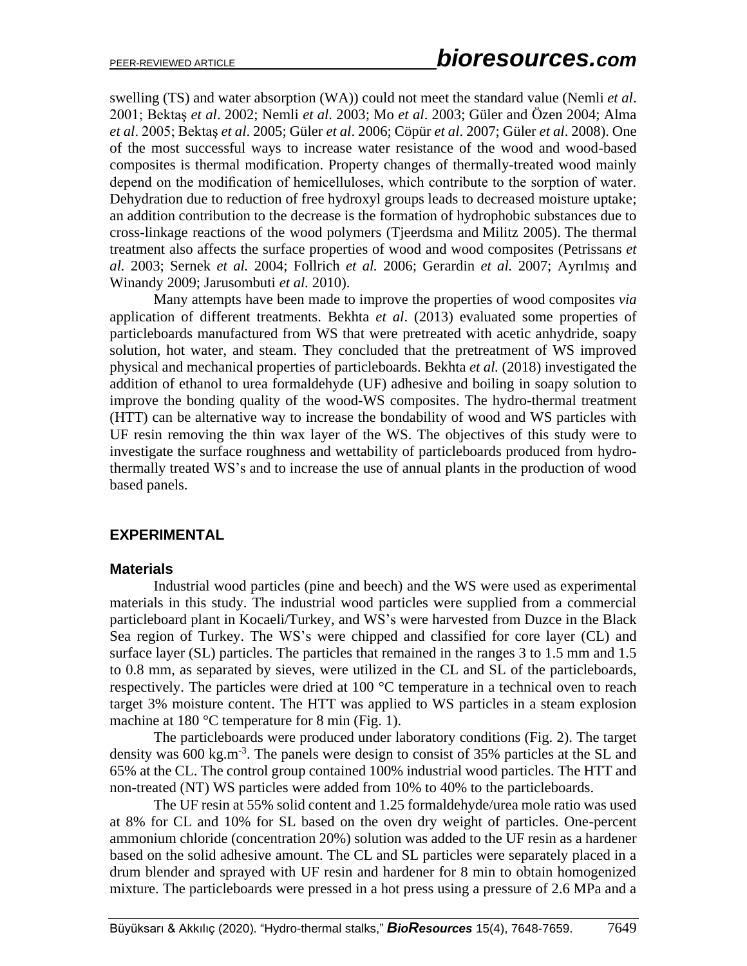swelling (TS) and water absorption (WA)) could not meet the standard value (Nemli *et al*. 2001; Bektaş *et al*. 2002; Nemli *et al*. 2003; Mo *et al*. 2003; Güler and Özen 2004; Alma *et al*. 2005; Bektaş *et al*. 2005; Güler *et al*. 2006; Cöpür *et al*. 2007; Güler *et al*. 2008). One of the most successful ways to increase water resistance of the wood and wood-based composites is thermal modification. Property changes of thermally-treated wood mainly depend on the modification of hemicelluloses, which contribute to the sorption of water. Dehydration due to reduction of free hydroxyl groups leads to decreased moisture uptake; an addition contribution to the decrease is the formation of hydrophobic substances due to cross-linkage reactions of the wood polymers (Tjeerdsma and Militz 2005). The thermal treatment also affects the surface properties of wood and wood composites (Petrissans *et al.* 2003; Sernek *et al.* 2004; Follrich *et al.* 2006; Gerardin *et al.* 2007; Ayrılmış and Winandy 2009; Jarusombuti *et al.* 2010).

Many attempts have been made to improve the properties of wood composites *via* application of different treatments. Bekhta *et al*. (2013) evaluated some properties of particleboards manufactured from WS that were pretreated with acetic anhydride, soapy solution, hot water, and steam. They concluded that the pretreatment of WS improved physical and mechanical properties of particleboards. Bekhta *et al.* (2018) investigated the addition of ethanol to urea formaldehyde (UF) adhesive and boiling in soapy solution to improve the bonding quality of the wood-WS composites. The hydro-thermal treatment (HTT) can be alternative way to increase the bondability of wood and WS particles with UF resin removing the thin wax layer of the WS. The objectives of this study were to investigate the surface roughness and wettability of particleboards produced from hydrothermally treated WS's and to increase the use of annual plants in the production of wood based panels.

### **EXPERIMENTAL**

### **Materials**

Industrial wood particles (pine and beech) and the WS were used as experimental materials in this study. The industrial wood particles were supplied from a commercial particleboard plant in Kocaeli/Turkey, and WS's were harvested from Duzce in the Black Sea region of Turkey. The WS's were chipped and classified for core layer (CL) and surface layer (SL) particles. The particles that remained in the ranges 3 to 1.5 mm and 1.5 to 0.8 mm, as separated by sieves, were utilized in the CL and SL of the particleboards, respectively. The particles were dried at 100 °C temperature in a technical oven to reach target 3% moisture content. The HTT was applied to WS particles in a steam explosion machine at 180 °C temperature for 8 min (Fig. 1).

The particleboards were produced under laboratory conditions (Fig. 2). The target density was 600 kg.m<sup>-3</sup>. The panels were design to consist of 35% particles at the SL and 65% at the CL. The control group contained 100% industrial wood particles. The HTT and non-treated (NT) WS particles were added from 10% to 40% to the particleboards.

The UF resin at 55% solid content and 1.25 formaldehyde/urea mole ratio was used at 8% for CL and 10% for SL based on the oven dry weight of particles. One-percent ammonium chloride (concentration 20%) solution was added to the UF resin as a hardener based on the solid adhesive amount. The CL and SL particles were separately placed in a drum blender and sprayed with UF resin and hardener for 8 min to obtain homogenized mixture. The particleboards were pressed in a hot press using a pressure of 2.6 MPa and a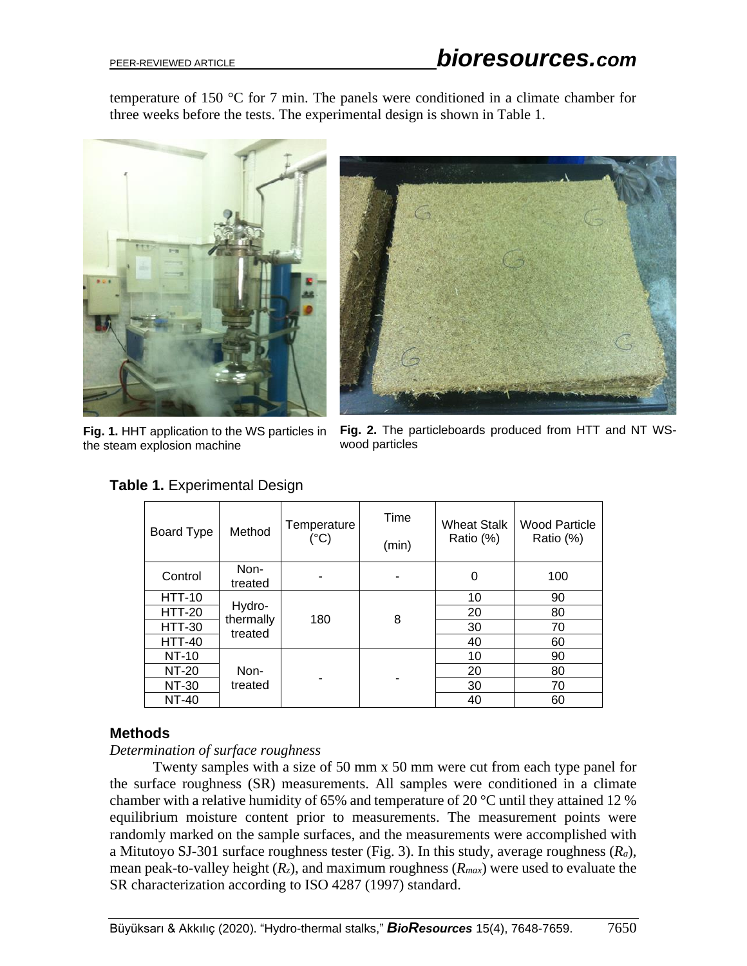temperature of 150 °C for 7 min. The panels were conditioned in a climate chamber for three weeks before the tests. The experimental design is shown in Table 1.







**Fig. 2.** The particleboards produced from HTT and NT WSwood particles

| Board Type    | Method                         | Temperature<br>(°C) | Time<br>(min) | <b>Wheat Stalk</b><br>Ratio (%) | <b>Wood Particle</b><br>Ratio (%) |
|---------------|--------------------------------|---------------------|---------------|---------------------------------|-----------------------------------|
| Control       | Non-<br>treated                |                     |               | 0                               | 100                               |
| <b>HTT-10</b> |                                |                     |               | 10                              | 90                                |
| <b>HTT-20</b> | Hydro-<br>thermally<br>treated | 180                 | 8             | 20                              | 80                                |
| <b>HTT-30</b> |                                |                     |               | 30                              | 70                                |
| <b>HTT-40</b> |                                |                     |               | 40                              | 60                                |
| NT-10         |                                |                     |               | 10                              | 90                                |
| NT-20         | Non-                           |                     |               | 20                              | 80                                |
| NT-30         | treated                        |                     |               | 30                              | 70                                |
| <b>NT-40</b>  |                                |                     |               | 40                              | 60                                |

## **Table 1.** Experimental Design

### **Methods**

### *Determination of surface roughness*

Twenty samples with a size of 50 mm x 50 mm were cut from each type panel for the surface roughness (SR) measurements. All samples were conditioned in a climate chamber with a relative humidity of 65% and temperature of 20 °C until they attained 12 % equilibrium moisture content prior to measurements. The measurement points were randomly marked on the sample surfaces, and the measurements were accomplished with a Mitutoyo SJ-301 surface roughness tester (Fig. 3). In this study, average roughness (*Ra*), mean peak-to-valley height (*Rz*), and maximum roughness (*Rmax*) were used to evaluate the SR characterization according to ISO 4287 (1997) standard.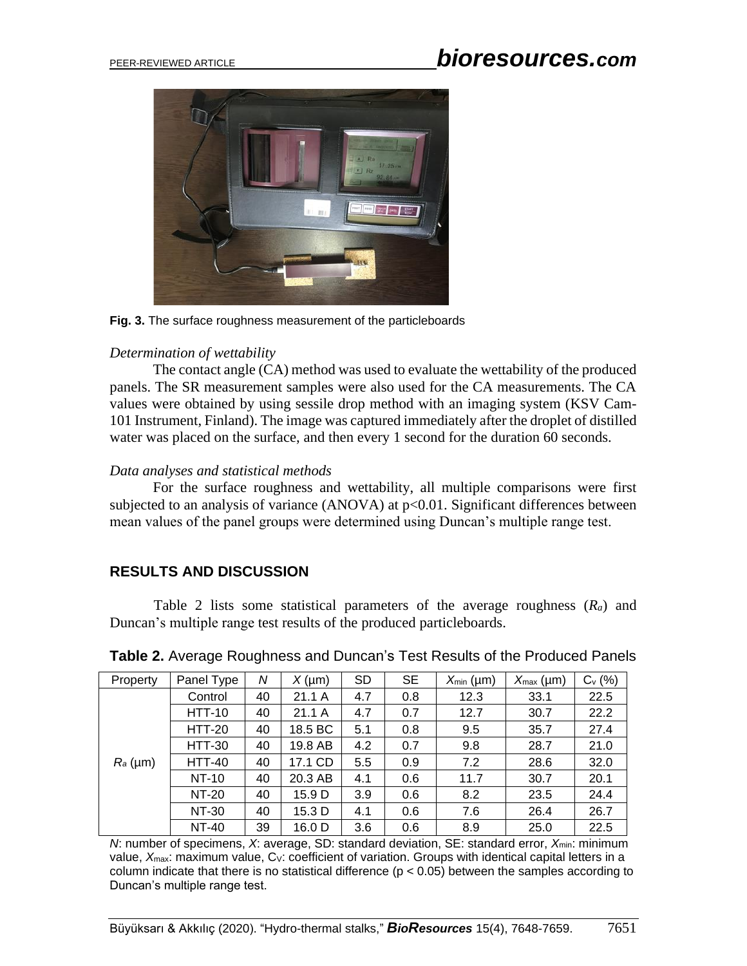# PEER-REVIEWED ARTICLE *bioresources.com*



**Fig. 3.** The surface roughness measurement of the particleboards

### *Determination of wettability*

The contact angle (CA) method was used to evaluate the wettability of the produced panels. The SR measurement samples were also used for the CA measurements. The CA values were obtained by using sessile drop method with an imaging system (KSV Cam-101 Instrument, Finland). The image was captured immediately after the droplet of distilled water was placed on the surface, and then every 1 second for the duration 60 seconds.

### *Data analyses and statistical methods*

For the surface roughness and wettability, all multiple comparisons were first subjected to an analysis of variance  $(ANOVA)$  at  $p<0.01$ . Significant differences between mean values of the panel groups were determined using Duncan's multiple range test.

## **RESULTS AND DISCUSSION**

Table 2 lists some statistical parameters of the average roughness (*Ra*) and Duncan's multiple range test results of the produced particleboards.

| Property   | Panel Type    | N  | $X(\mu m)$ | <b>SD</b> | <b>SE</b> | $X_{\min}$ (µm) | $X_{\text{max}}$ (µm) | $C_v$ (%) |
|------------|---------------|----|------------|-----------|-----------|-----------------|-----------------------|-----------|
| $R_a$ (µm) | Control       | 40 | 21.1 A     | 4.7       | 0.8       | 12.3            | 33.1                  | 22.5      |
|            | <b>HTT-10</b> | 40 | 21.1A      | 4.7       | 0.7       | 12.7            | 30.7                  | 22.2      |
|            | <b>HTT-20</b> | 40 | 18.5 BC    | 5.1       | 0.8       | 9.5             | 35.7                  | 27.4      |
|            | <b>HTT-30</b> | 40 | 19.8 AB    | 4.2       | 0.7       | 9.8             | 28.7                  | 21.0      |
|            | <b>HTT-40</b> | 40 | 17.1 CD    | 5.5       | 0.9       | 7.2             | 28.6                  | 32.0      |
|            | <b>NT-10</b>  | 40 | 20.3 AB    | 4.1       | 0.6       | 11.7            | 30.7                  | 20.1      |
|            | NT-20         | 40 | 15.9 D     | 3.9       | 0.6       | 8.2             | 23.5                  | 24.4      |
|            | <b>NT-30</b>  | 40 | 15.3 D     | 4.1       | 0.6       | 7.6             | 26.4                  | 26.7      |
|            | <b>NT-40</b>  | 39 | 16.0 D     | 3.6       | 0.6       | 8.9             | 25.0                  | 22.5      |

**Table 2.** Average Roughness and Duncan's Test Results of the Produced Panels

*N*: number of specimens, *X*: average, SD: standard deviation, SE: standard error,  $X_{min}$ : minimum value, X<sub>max</sub>: maximum value, C<sub>V</sub>: coefficient of variation. Groups with identical capital letters in a column indicate that there is no statistical difference ( $p < 0.05$ ) between the samples according to Duncan's multiple range test.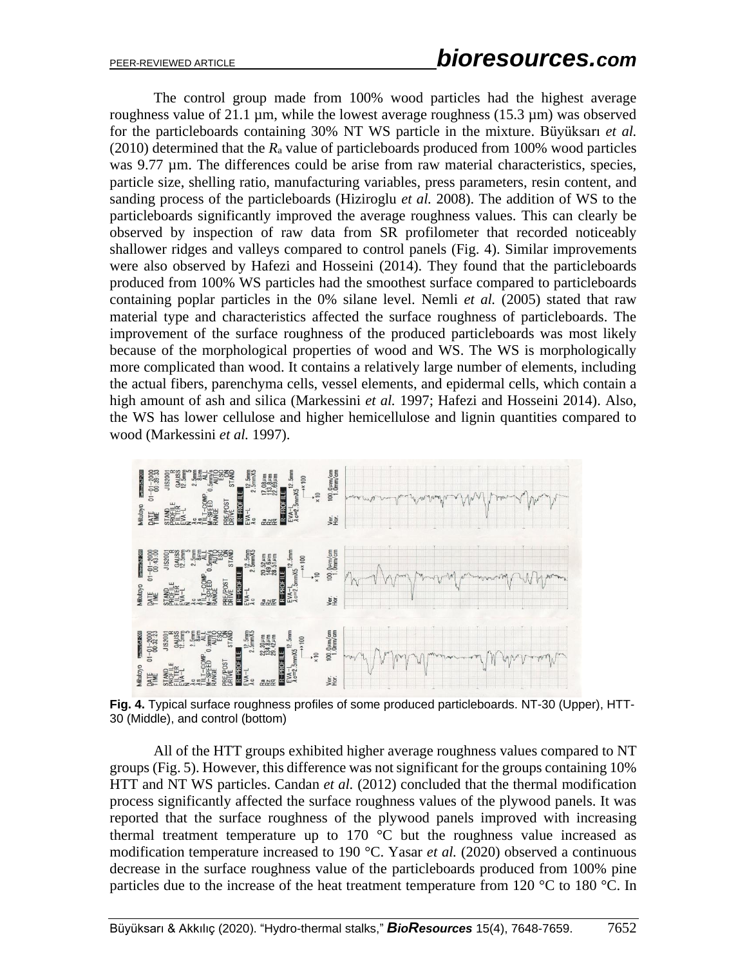The control group made from 100% wood particles had the highest average roughness value of 21.1  $\mu$ m, while the lowest average roughness (15.3  $\mu$ m) was observed for the particleboards containing 30% NT WS particle in the mixture. Büyüksarı *et al.* (2010) determined that the *R*<sup>a</sup> value of particleboards produced from 100% wood particles was 9.77  $\mu$ m. The differences could be arise from raw material characteristics, species, particle size, shelling ratio, manufacturing variables, press parameters, resin content, and sanding process of the particleboards (Hiziroglu *et al.* 2008). The addition of WS to the particleboards significantly improved the average roughness values. This can clearly be observed by inspection of raw data from SR profilometer that recorded noticeably shallower ridges and valleys compared to control panels (Fig. 4). Similar improvements were also observed by Hafezi and Hosseini (2014). They found that the particleboards produced from 100% WS particles had the smoothest surface compared to particleboards containing poplar particles in the 0% silane level. Nemli *et al.* (2005) stated that raw material type and characteristics affected the surface roughness of particleboards. The improvement of the surface roughness of the produced particleboards was most likely because of the morphological properties of wood and WS. The WS is morphologically more complicated than wood. It contains a relatively large number of elements, including the actual fibers, parenchyma cells, vessel elements, and epidermal cells, which contain a high amount of ash and silica (Markessini *et al.* 1997; Hafezi and Hosseini 2014). Also, the WS has lower cellulose and higher hemicellulose and lignin quantities compared to wood (Markessini *et al.* 1997).



**Fig. 4.** Typical surface roughness profiles of some produced particleboards. NT-30 (Upper), HTT-30 (Middle), and control (bottom)

All of the HTT groups exhibited higher average roughness values compared to NT groups (Fig. 5). However, this difference was not significant for the groups containing 10% HTT and NT WS particles. Candan *et al.* (2012) concluded that the thermal modification process significantly affected the surface roughness values of the plywood panels. It was reported that the surface roughness of the plywood panels improved with increasing thermal treatment temperature up to  $170\degree C$  but the roughness value increased as modification temperature increased to 190 °C. Yasar *et al.* (2020) observed a continuous decrease in the surface roughness value of the particleboards produced from 100% pine particles due to the increase of the heat treatment temperature from 120 °C to 180 °C. In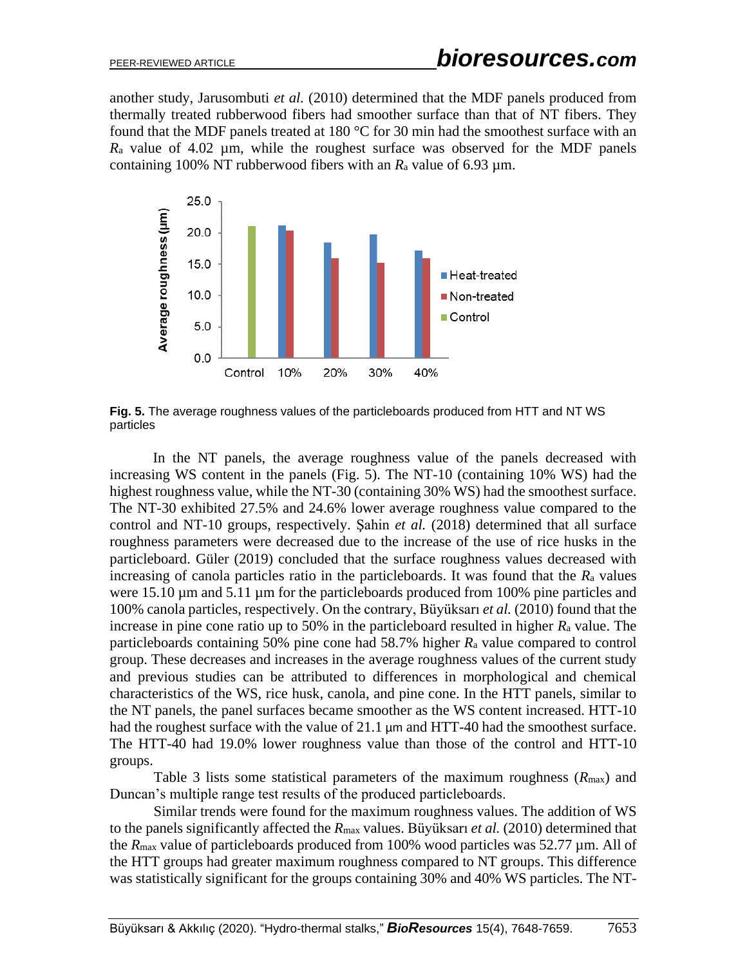another study, Jarusombuti *et al.* (2010) determined that the MDF panels produced from thermally treated rubberwood fibers had smoother surface than that of NT fibers. They found that the MDF panels treated at 180 °C for 30 min had the smoothest surface with an  $R_a$  value of 4.02  $\mu$ m, while the roughest surface was observed for the MDF panels containing 100% NT rubberwood fibers with an  $R_a$  value of 6.93  $\mu$ m.



**Fig. 5.** The average roughness values of the particleboards produced from HTT and NT WS particles

In the NT panels, the average roughness value of the panels decreased with increasing WS content in the panels (Fig. 5). The NT-10 (containing 10% WS) had the highest roughness value, while the NT-30 (containing 30% WS) had the smoothest surface. The NT-30 exhibited 27.5% and 24.6% lower average roughness value compared to the control and NT-10 groups, respectively. Şahin *et al.* (2018) determined that all surface roughness parameters were decreased due to the increase of the use of rice husks in the particleboard. Güler (2019) concluded that the surface roughness values decreased with increasing of canola particles ratio in the particleboards. It was found that the *R*<sup>a</sup> values were 15.10  $\mu$ m and 5.11  $\mu$ m for the particleboards produced from 100% pine particles and 100% canola particles, respectively. On the contrary, Büyüksarı *et al.* (2010) found that the increase in pine cone ratio up to 50% in the particleboard resulted in higher *R*<sup>a</sup> value. The particleboards containing 50% pine cone had 58.7% higher *R*<sup>a</sup> value compared to control group. These decreases and increases in the average roughness values of the current study and previous studies can be attributed to differences in morphological and chemical characteristics of the WS, rice husk, canola, and pine cone. In the HTT panels, similar to the NT panels, the panel surfaces became smoother as the WS content increased. HTT-10 had the roughest surface with the value of 21.1  $\mu$ m and HTT-40 had the smoothest surface. The HTT-40 had 19.0% lower roughness value than those of the control and HTT-10 groups.

Table 3 lists some statistical parameters of the maximum roughness (*R*max) and Duncan's multiple range test results of the produced particleboards.

Similar trends were found for the maximum roughness values. The addition of WS to the panels significantly affected the *R*max values. Büyüksarı *et al.* (2010) determined that the *R*max value of particleboards produced from 100% wood particles was 52.77 µm. All of the HTT groups had greater maximum roughness compared to NT groups. This difference was statistically significant for the groups containing 30% and 40% WS particles. The NT-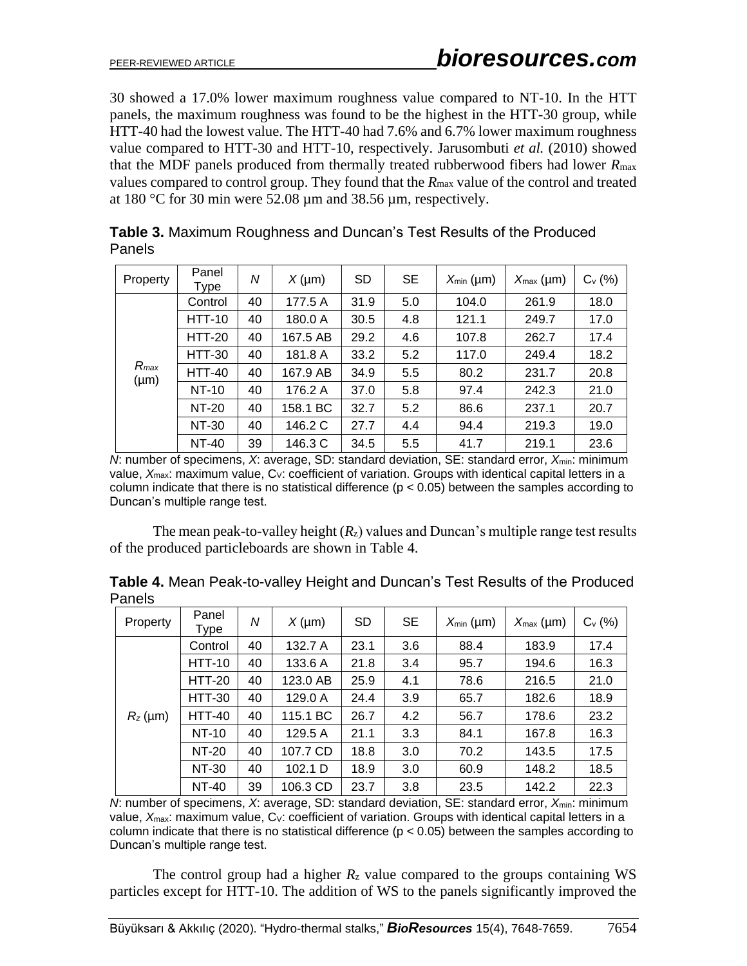30 showed a 17.0% lower maximum roughness value compared to NT-10. In the HTT panels, the maximum roughness was found to be the highest in the HTT-30 group, while HTT-40 had the lowest value. The HTT-40 had 7.6% and 6.7% lower maximum roughness value compared to HTT-30 and HTT-10, respectively. Jarusombuti *et al.* (2010) showed that the MDF panels produced from thermally treated rubberwood fibers had lower *R*max values compared to control group. They found that the *R*max value of the control and treated at 180 °C for 30 min were 52.08 µm and 38.56 µm, respectively.

| Property               | Panel<br>Type | Ν  | $X(\mu m)$ | <b>SD</b> | SE  | $X_{\min}$ (µm) | $X_{\text{max}}$ (µm) | $C_v$ (%) |
|------------------------|---------------|----|------------|-----------|-----|-----------------|-----------------------|-----------|
| $R_{max}$<br>$(\mu m)$ | Control       | 40 | 177.5 A    | 31.9      | 5.0 | 104.0           | 261.9                 | 18.0      |
|                        | <b>HTT-10</b> | 40 | 180.0 A    | 30.5      | 4.8 | 121.1           | 249.7                 | 17.0      |
|                        | <b>HTT-20</b> | 40 | 167.5 AB   | 29.2      | 4.6 | 107.8           | 262.7                 | 17.4      |
|                        | <b>HTT-30</b> | 40 | 181.8 A    | 33.2      | 5.2 | 117.0           | 249.4                 | 18.2      |
|                        | <b>HTT-40</b> | 40 | 167.9 AB   | 34.9      | 5.5 | 80.2            | 231.7                 | 20.8      |
|                        | NT-10         | 40 | 176.2 A    | 37.0      | 5.8 | 97.4            | 242.3                 | 21.0      |
|                        | NT-20         | 40 | 158.1 BC   | 32.7      | 5.2 | 86.6            | 237.1                 | 20.7      |
|                        | NT-30         | 40 | 146.2 C    | 27.7      | 4.4 | 94.4            | 219.3                 | 19.0      |
|                        | NT-40         | 39 | 146.3 C    | 34.5      | 5.5 | 41.7            | 219.1                 | 23.6      |

**Table 3.** Maximum Roughness and Duncan's Test Results of the Produced Panels

*N*: number of specimens, *X*: average, SD: standard deviation, SE: standard error,  $X_{min}$ : minimum value, X<sub>max</sub>: maximum value, C<sub>V</sub>: coefficient of variation. Groups with identical capital letters in a column indicate that there is no statistical difference ( $p < 0.05$ ) between the samples according to Duncan's multiple range test.

The mean peak-to-valley height  $(R_z)$  values and Duncan's multiple range test results of the produced particleboards are shown in Table 4.

| Property   | Panel<br>Type | N  | $X(\mu m)$ | <b>SD</b> | SE  | $X_{\min}$ (µm) | $X_{\text{max}}$ (µm) | $C_v$ (%) |
|------------|---------------|----|------------|-----------|-----|-----------------|-----------------------|-----------|
| $R_z$ (µm) | Control       | 40 | 132.7 A    | 23.1      | 3.6 | 88.4            | 183.9                 | 17.4      |
|            | <b>HTT-10</b> | 40 | 133.6 A    | 21.8      | 3.4 | 95.7            | 194.6                 | 16.3      |
|            | <b>HTT-20</b> | 40 | 123.0 AB   | 25.9      | 4.1 | 78.6            | 216.5                 | 21.0      |
|            | <b>HTT-30</b> | 40 | 129.0 A    | 24.4      | 3.9 | 65.7            | 182.6                 | 18.9      |
|            | <b>HTT-40</b> | 40 | 115.1 BC   | 26.7      | 4.2 | 56.7            | 178.6                 | 23.2      |
|            | NT-10         | 40 | 129.5 A    | 21.1      | 3.3 | 84.1            | 167.8                 | 16.3      |
|            | NT-20         | 40 | 107.7 CD   | 18.8      | 3.0 | 70.2            | 143.5                 | 17.5      |
|            | NT-30         | 40 | 102.1 D    | 18.9      | 3.0 | 60.9            | 148.2                 | 18.5      |
|            | <b>NT-40</b>  | 39 | 106.3 CD   | 23.7      | 3.8 | 23.5            | 142.2                 | 22.3      |

**Table 4.** Mean Peak-to-valley Height and Duncan's Test Results of the Produced Panels

*N*: number of specimens, *X*: average, SD: standard deviation, SE: standard error, *X*<sub>min</sub>: minimum value,  $X_{\text{max}}$ : maximum value,  $C_V$ : coefficient of variation. Groups with identical capital letters in a column indicate that there is no statistical difference ( $p < 0.05$ ) between the samples according to Duncan's multiple range test.

The control group had a higher  $R_z$  value compared to the groups containing WS particles except for HTT-10. The addition of WS to the panels significantly improved the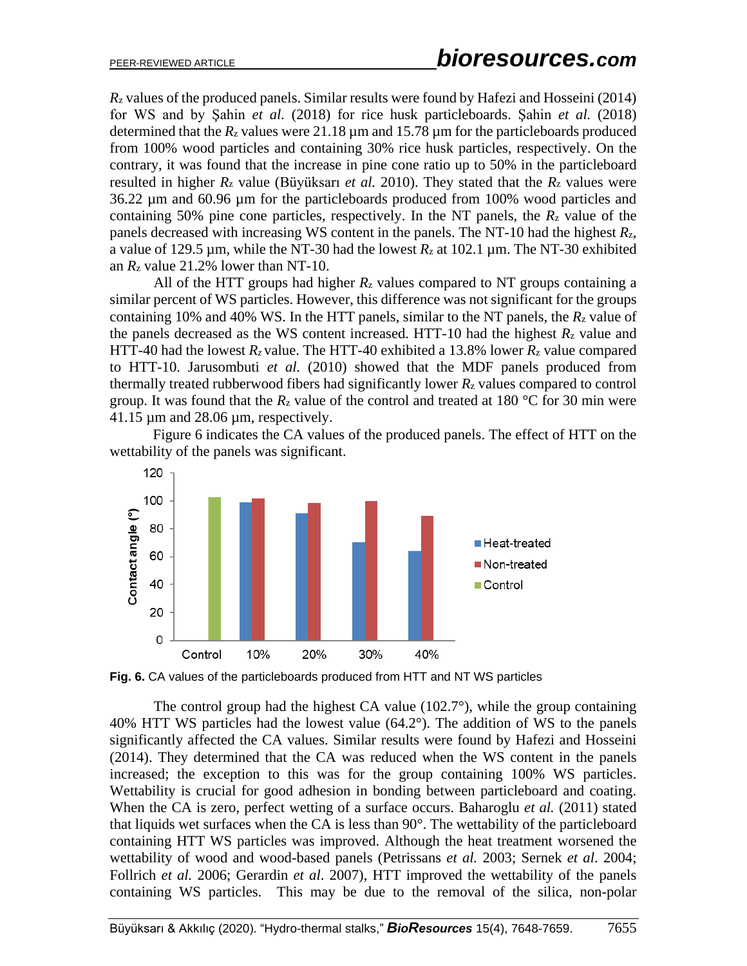*R*<sup>z</sup> values of the produced panels. Similar results were found by Hafezi and Hosseini (2014) for WS and by Şahin *et al.* (2018) for rice husk particleboards. Şahin *et al.* (2018) determined that the  $R_z$  values were 21.18  $\mu$ m and 15.78  $\mu$ m for the particleboards produced from 100% wood particles and containing 30% rice husk particles, respectively. On the contrary, it was found that the increase in pine cone ratio up to 50% in the particleboard resulted in higher  $R_z$  value (Büyüksarı *et al.* 2010). They stated that the  $R_z$  values were 36.22 µm and 60.96 µm for the particleboards produced from 100% wood particles and containing 50% pine cone particles, respectively. In the NT panels, the *R*<sup>z</sup> value of the panels decreased with increasing WS content in the panels. The NT-10 had the highest *R*z, a value of 129.5  $\mu$ m, while the NT-30 had the lowest  $R_z$  at 102.1  $\mu$ m. The NT-30 exhibited an  $R_z$  value 21.2% lower than NT-10.

All of the HTT groups had higher  $R_z$  values compared to NT groups containing a similar percent of WS particles. However, this difference was not significant for the groups containing 10% and 40% WS. In the HTT panels, similar to the NT panels, the *R*<sup>z</sup> value of the panels decreased as the WS content increased. HTT-10 had the highest  $R_z$  value and HTT-40 had the lowest  $R_z$  value. The HTT-40 exhibited a 13.8% lower  $R_z$  value compared to HTT-10. Jarusombuti *et al.* (2010) showed that the MDF panels produced from thermally treated rubberwood fibers had significantly lower *R*<sup>z</sup> values compared to control group. It was found that the  $R_z$  value of the control and treated at 180 °C for 30 min were  $41.15 \,\mathrm{\upmu m}$  and  $28.06 \,\mathrm{\upmu m}$ , respectively.

Figure 6 indicates the CA values of the produced panels. The effect of HTT on the wettability of the panels was significant.



**Fig. 6.** CA values of the particleboards produced from HTT and NT WS particles

The control group had the highest CA value (102.7°), while the group containing 40% HTT WS particles had the lowest value (64.2°). The addition of WS to the panels significantly affected the CA values. Similar results were found by Hafezi and Hosseini (2014). They determined that the CA was reduced when the WS content in the panels increased; the exception to this was for the group containing 100% WS particles. Wettability is crucial for good adhesion in bonding between particleboard and coating. When the CA is zero, perfect wetting of a surface occurs. Baharoglu *et al.* (2011) stated that liquids wet surfaces when the CA is less than 90°. The wettability of the particleboard containing HTT WS particles was improved. Although the heat treatment worsened the wettability of wood and wood-based panels (Petrissans *et al.* 2003; Sernek *et al*. 2004; Follrich *et al.* 2006; Gerardin *et al*. 2007), HTT improved the wettability of the panels containing WS particles. This may be due to the removal of the silica, non-polar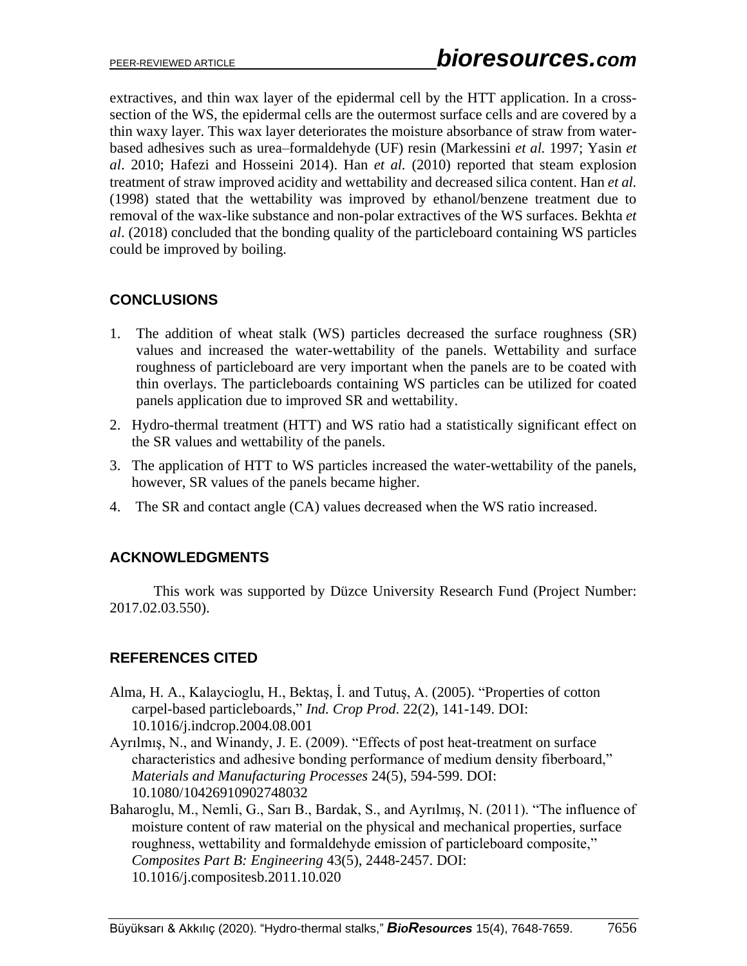extractives, and thin wax layer of the epidermal cell by the HTT application. In a crosssection of the WS, the epidermal cells are the outermost surface cells and are covered by a thin waxy layer. This wax layer deteriorates the moisture absorbance of straw from waterbased adhesives such as urea–formaldehyde (UF) resin (Markessini *et al.* 1997; Yasin *et al*. 2010; Hafezi and Hosseini 2014). Han *et al.* (2010) reported that steam explosion treatment of straw improved acidity and wettability and decreased silica content. Han *et al.* (1998) stated that the wettability was improved by ethanol/benzene treatment due to removal of the wax-like substance and non-polar extractives of the WS surfaces. Bekhta *et al*. (2018) concluded that the bonding quality of the particleboard containing WS particles could be improved by boiling.

# **CONCLUSIONS**

- 1. The addition of wheat stalk (WS) particles decreased the surface roughness (SR) values and increased the water-wettability of the panels. Wettability and surface roughness of particleboard are very important when the panels are to be coated with thin overlays. The particleboards containing WS particles can be utilized for coated panels application due to improved SR and wettability.
- 2. Hydro-thermal treatment (HTT) and WS ratio had a statistically significant effect on the SR values and wettability of the panels.
- 3. The application of HTT to WS particles increased the water-wettability of the panels, however, SR values of the panels became higher.
- 4. The SR and contact angle (CA) values decreased when the WS ratio increased.

## **ACKNOWLEDGMENTS**

This work was supported by Düzce University Research Fund (Project Number: 2017.02.03.550).

## **REFERENCES CITED**

- Alma, H. A., Kalaycioglu, H., Bektaş, İ. and Tutuş, A. (2005). "Properties of cotton carpel-based particleboards," *Ind. Crop Prod*. 22(2), 141-149. DOI: 10.1016/j.indcrop.2004.08.001
- Ayrılmış, N., and Winandy, J. E. (2009). "Effects of post heat-treatment on surface characteristics and adhesive bonding performance of medium density fiberboard," *Materials and Manufacturing Processes* 24(5), 594-599. DOI: 10.1080/10426910902748032
- Baharoglu, M., Nemli, G., Sarı B., Bardak, S., and Ayrılmış, N. (2011). "The influence of moisture content of raw material on the physical and mechanical properties, surface roughness, wettability and formaldehyde emission of particleboard composite," *Composites Part B: Engineering* 43(5), 2448-2457. DOI: 10.1016/j.compositesb.2011.10.020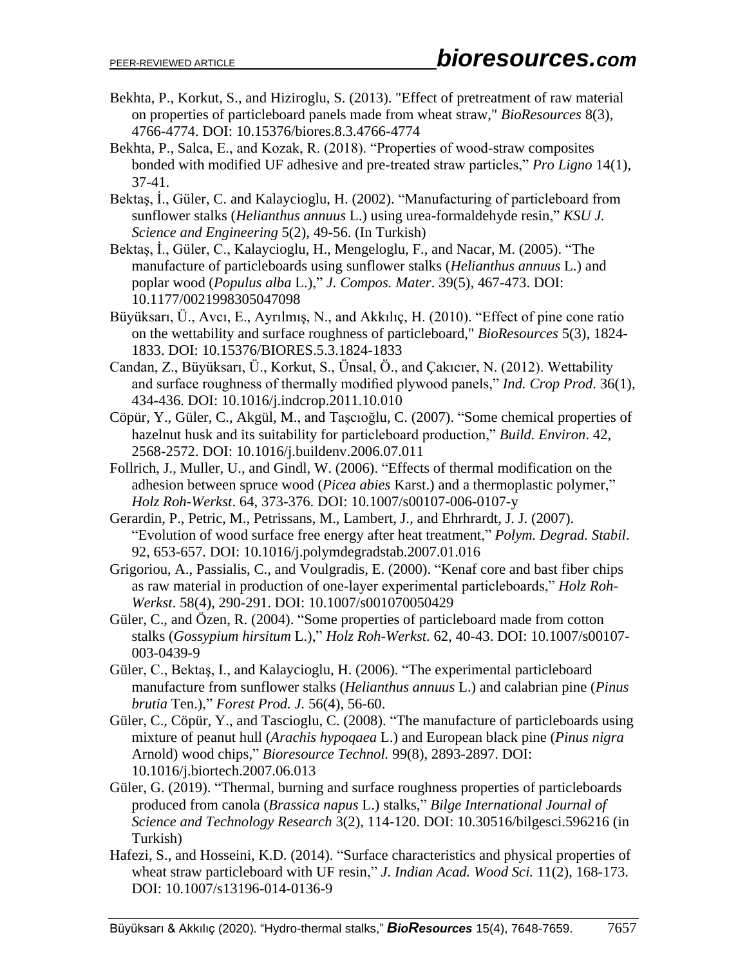- Bekhta, P., Korkut, S., and Hiziroglu, S. (2013). "Effect of pretreatment of raw material on properties of particleboard panels made from wheat straw," *BioResources* 8(3), 4766-4774. DOI: 10.15376/biores.8.3.4766-4774
- Bekhta, P., Salca, E., and Kozak, R. (2018). "Properties of wood-straw composites bonded with modified UF adhesive and pre-treated straw particles," *Pro Ligno* 14(1), 37-41.
- Bektaş, İ., Güler, C. and Kalaycioglu, H. (2002). "Manufacturing of particleboard from sunflower stalks (*Helianthus annuus* L.) using urea-formaldehyde resin," *KSU J. Science and Engineering* 5(2), 49-56. (In Turkish)
- Bektaş, İ., Güler, C., Kalaycioglu, H., Mengeloglu, F., and Nacar, M. (2005). "The manufacture of particleboards using sunflower stalks (*Helianthus annuus* L.) and poplar wood (*Populus alba* L.)," *J. Compos. Mater*. 39(5), 467-473. DOI: 10.1177/0021998305047098
- Büyüksarı, Ü., Avcı, E., Ayrılmış, N., and Akkılıç, H. (2010). "Effect of pine cone ratio on the wettability and surface roughness of particleboard," *BioResources* 5(3), 1824- 1833. DOI: 10.15376/BIORES.5.3.1824-1833
- Candan, Z., Büyüksarı, Ü., Korkut, S., Ünsal, Ö., and Çakıcıer, N. (2012). Wettability and surface roughness of thermally modified plywood panels," *Ind. Crop Prod*. 36(1), 434-436. DOI: 10.1016/j.indcrop.2011.10.010
- Cöpür, Y., Güler, C., Akgül, M., and Taşcıoğlu, C. (2007). "Some chemical properties of hazelnut husk and its suitability for particleboard production," *Build. Environ*. 42, 2568-2572. DOI: 10.1016/j.buildenv.2006.07.011
- Follrich, J., Muller, U., and Gindl, W. (2006). "Effects of thermal modification on the adhesion between spruce wood (*Picea abies* Karst.) and a thermoplastic polymer," *Holz Roh-Werkst*. 64, 373-376. DOI: 10.1007/s00107-006-0107-y
- Gerardin, P., Petric, M., Petrissans, M., Lambert, J., and Ehrhrardt, J. J. (2007). "Evolution of wood surface free energy after heat treatment," *Polym. Degrad. Stabil*. 92, 653-657. DOI: 10.1016/j.polymdegradstab.2007.01.016
- Grigoriou, A., Passialis, C., and Voulgradis, E. (2000). "Kenaf core and bast fiber chips as raw material in production of one-layer experimental particleboards," *Holz Roh-Werkst*. 58(4), 290-291. DOI: 10.1007/s001070050429
- Güler, C., and Özen, R. (2004). "Some properties of particleboard made from cotton stalks (*Gossypium hirsitum* L.)," *Holz Roh-Werkst*. 62, 40-43. DOI: 10.1007/s00107- 003-0439-9
- Güler, C., Bektaş, I., and Kalaycioglu, H. (2006). "The experimental particleboard manufacture from sunflower stalks (*Helianthus annuus* L.) and calabrian pine (*Pinus brutia* Ten.)," *Forest Prod. J.* 56(4), 56-60.
- Güler, C., Cöpür, Y., and Tascioglu, C. (2008). "The manufacture of particleboards using mixture of peanut hull (*Arachis hypoqaea* L.) and European black pine (*Pinus nigra* Arnold) wood chips," *Bioresource Technol.* 99(8), 2893-2897. DOI: 10.1016/j.biortech.2007.06.013
- Güler, G. (2019). "Thermal, burning and surface roughness properties of particleboards produced from canola (*Brassica napus* L.) stalks," *Bilge International Journal of Science and Technology Research* 3(2), 114-120. DOI: 10.30516/bilgesci.596216 (in Turkish)
- Hafezi, S., and Hosseini, K.D. (2014). "Surface characteristics and physical properties of wheat straw particleboard with UF resin," *J. Indian Acad. Wood Sci.* 11(2), 168-173. DOI: 10.1007/s13196-014-0136-9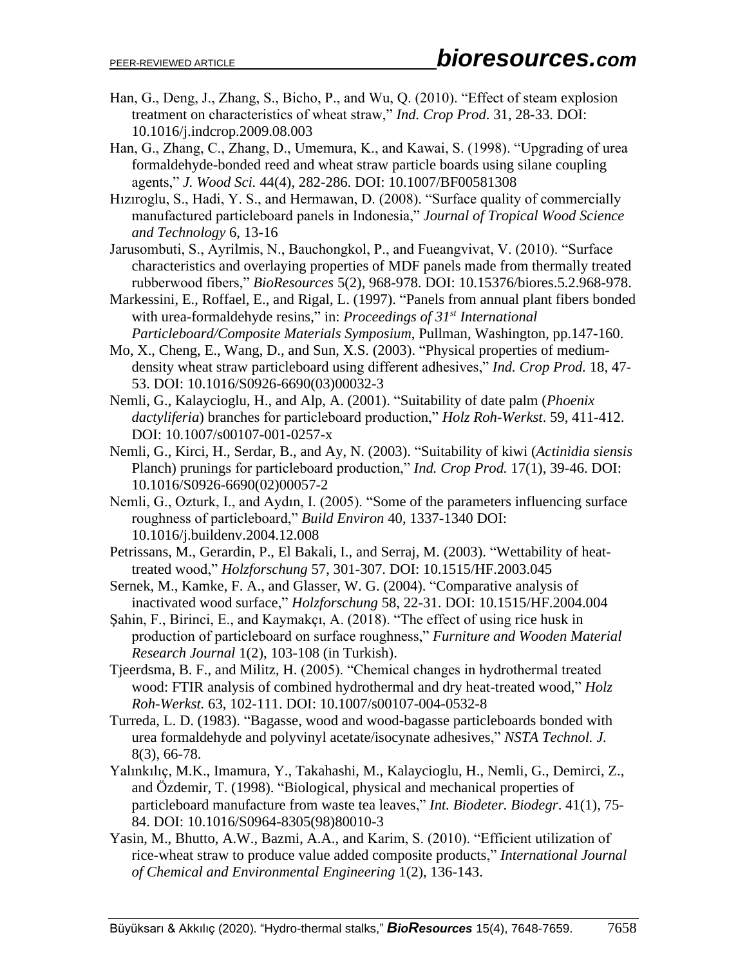- Han, G., Deng, J., Zhang, S., Bicho, P., and Wu, Q. (2010). "Effect of steam explosion treatment on characteristics of wheat straw," *Ind. Crop Prod*. 31, 28-33. DOI: 10.1016/j.indcrop.2009.08.003
- Han, G., Zhang, C., Zhang, D., Umemura, K., and Kawai, S. (1998). "Upgrading of urea formaldehyde-bonded reed and wheat straw particle boards using silane coupling agents," *J. Wood Sci.* 44(4), 282-286. DOI: 10.1007/BF00581308
- Hızıroglu, S., Hadi, Y. S., and Hermawan, D. (2008). "Surface quality of commercially manufactured particleboard panels in Indonesia," *Journal of Tropical Wood Science and Technology* 6, 13-16
- Jarusombuti, S., Ayrilmis, N., Bauchongkol, P., and Fueangvivat, V. (2010). "Surface characteristics and overlaying properties of MDF panels made from thermally treated rubberwood fibers," *BioResources* 5(2), 968-978. DOI: 10.15376/biores.5.2.968-978.
- Markessini, E., Roffael, E., and Rigal, L. (1997). "Panels from annual plant fibers bonded with urea-formaldehyde resins," in: *Proceedings of 31st International Particleboard/Composite Materials Symposium*, Pullman, Washington, pp.147-160.
- Mo, X., Cheng, E., Wang, D., and Sun, X.S. (2003). "Physical properties of mediumdensity wheat straw particleboard using different adhesives," *Ind. Crop Prod.* 18, 47- 53. DOI: 10.1016/S0926-6690(03)00032-3
- Nemli, G., Kalaycioglu, H., and Alp, A. (2001). "Suitability of date palm (*Phoenix dactyliferia*) branches for particleboard production," *Holz Roh-Werkst*. 59, 411-412. DOI: 10.1007/s00107-001-0257-x
- Nemli, G., Kirci, H., Serdar, B., and Ay, N. (2003). "Suitability of kiwi (*Actinidia siensis* Planch) prunings for particleboard production," *Ind. Crop Prod.* 17(1), 39-46. DOI: 10.1016/S0926-6690(02)00057-2
- Nemli, G., Ozturk, I., and Aydın, I. (2005). "Some of the parameters influencing surface roughness of particleboard," *Build Environ* 40, 1337-1340 DOI: 10.1016/j.buildenv.2004.12.008
- Petrissans, M., Gerardin, P., El Bakali, I., and Serraj, M. (2003). "Wettability of heattreated wood," *Holzforschung* 57, 301-307. DOI: 10.1515/HF.2003.045
- Sernek, M., Kamke, F. A., and Glasser, W. G. (2004). "Comparative analysis of inactivated wood surface," *Holzforschung* 58, 22-31. DOI: 10.1515/HF.2004.004
- Şahin, F., Birinci, E., and Kaymakçı, A. (2018). "The effect of using rice husk in production of particleboard on surface roughness," *Furniture and Wooden Material Research Journal* 1(2), 103-108 (in Turkish).
- Tjeerdsma, B. F., and Militz, H. (2005). "Chemical changes in hydrothermal treated wood: FTIR analysis of combined hydrothermal and dry heat-treated wood," *Holz Roh-Werkst.* 63, 102-111. DOI: 10.1007/s00107-004-0532-8
- Turreda, L. D. (1983). "Bagasse, wood and wood-bagasse particleboards bonded with urea formaldehyde and polyvinyl acetate/isocynate adhesives," *NSTA Technol. J.* 8(3), 66-78.
- Yalınkılıç, M.K., Imamura, Y., Takahashi, M., Kalaycioglu, H., Nemli, G., Demirci, Z., and Özdemir, T. (1998). "Biological, physical and mechanical properties of particleboard manufacture from waste tea leaves," *Int. Biodeter. Biodegr*. 41(1), 75- 84. DOI: 10.1016/S0964-8305(98)80010-3
- Yasin, M., Bhutto, A.W., Bazmi, A.A., and Karim, S. (2010). "Efficient utilization of rice-wheat straw to produce value added composite products," *International Journal of Chemical and Environmental Engineering* 1(2), 136-143.